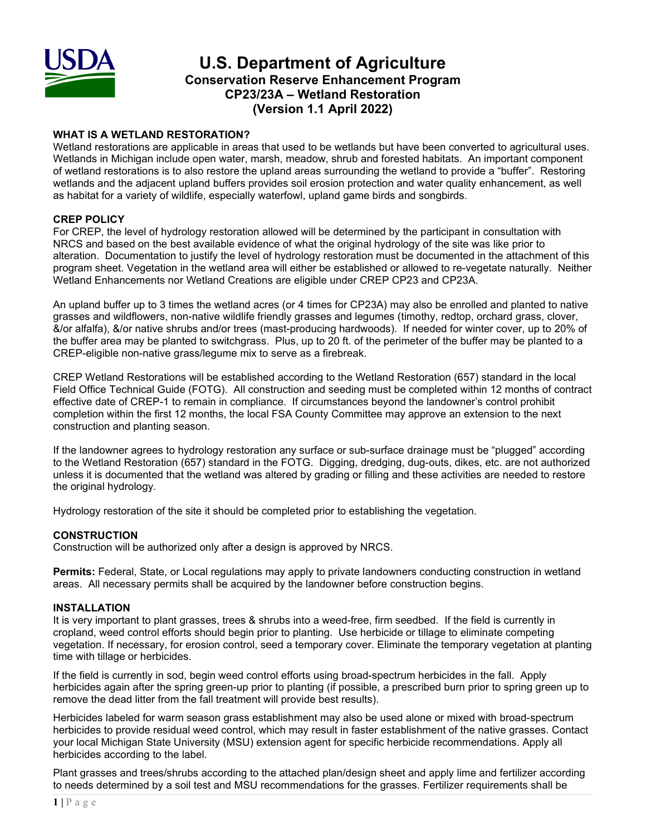

# **U.S. Department of Agriculture Conservation Reserve Enhancement Program CP23/23A – Wetland Restoration (Version 1.1 April 2022)**

## **WHAT IS A WETLAND RESTORATION?**

Wetland restorations are applicable in areas that used to be wetlands but have been converted to agricultural uses. Wetlands in Michigan include open water, marsh, meadow, shrub and forested habitats. An important component of wetland restorations is to also restore the upland areas surrounding the wetland to provide a "buffer". Restoring wetlands and the adjacent upland buffers provides soil erosion protection and water quality enhancement, as well as habitat for a variety of wildlife, especially waterfowl, upland game birds and songbirds.

## **CREP POLICY**

For CREP, the level of hydrology restoration allowed will be determined by the participant in consultation with NRCS and based on the best available evidence of what the original hydrology of the site was like prior to alteration. Documentation to justify the level of hydrology restoration must be documented in the attachment of this program sheet. Vegetation in the wetland area will either be established or allowed to re-vegetate naturally. Neither Wetland Enhancements nor Wetland Creations are eligible under CREP CP23 and CP23A.

An upland buffer up to 3 times the wetland acres (or 4 times for CP23A) may also be enrolled and planted to native grasses and wildflowers, non-native wildlife friendly grasses and legumes (timothy, redtop, orchard grass, clover, &/or alfalfa), &/or native shrubs and/or trees (mast-producing hardwoods). If needed for winter cover, up to 20% of the buffer area may be planted to switchgrass. Plus, up to 20 ft. of the perimeter of the buffer may be planted to a CREP-eligible non-native grass/legume mix to serve as a firebreak.

CREP Wetland Restorations will be established according to the Wetland Restoration (657) standard in the local Field Office Technical Guide (FOTG). All construction and seeding must be completed within 12 months of contract effective date of CREP-1 to remain in compliance. If circumstances beyond the landowner's control prohibit completion within the first 12 months, the local FSA County Committee may approve an extension to the next construction and planting season.

If the landowner agrees to hydrology restoration any surface or sub-surface drainage must be "plugged" according to the Wetland Restoration (657) standard in the FOTG. Digging, dredging, dug-outs, dikes, etc. are not authorized unless it is documented that the wetland was altered by grading or filling and these activities are needed to restore the original hydrology.

Hydrology restoration of the site it should be completed prior to establishing the vegetation.

### **CONSTRUCTION**

Construction will be authorized only after a design is approved by NRCS.

**Permits:** Federal, State, or Local regulations may apply to private landowners conducting construction in wetland areas. All necessary permits shall be acquired by the landowner before construction begins.

### **INSTALLATION**

It is very important to plant grasses, trees & shrubs into a weed-free, firm seedbed. If the field is currently in cropland, weed control efforts should begin prior to planting. Use herbicide or tillage to eliminate competing vegetation. If necessary, for erosion control, seed a temporary cover. Eliminate the temporary vegetation at planting time with tillage or herbicides.

If the field is currently in sod, begin weed control efforts using broad-spectrum herbicides in the fall. Apply herbicides again after the spring green-up prior to planting (if possible, a prescribed burn prior to spring green up to remove the dead litter from the fall treatment will provide best results).

Herbicides labeled for warm season grass establishment may also be used alone or mixed with broad-spectrum herbicides to provide residual weed control, which may result in faster establishment of the native grasses. Contact your local Michigan State University (MSU) extension agent for specific herbicide recommendations. Apply all herbicides according to the label.

Plant grasses and trees/shrubs according to the attached plan/design sheet and apply lime and fertilizer according to needs determined by a soil test and MSU recommendations for the grasses. Fertilizer requirements shall be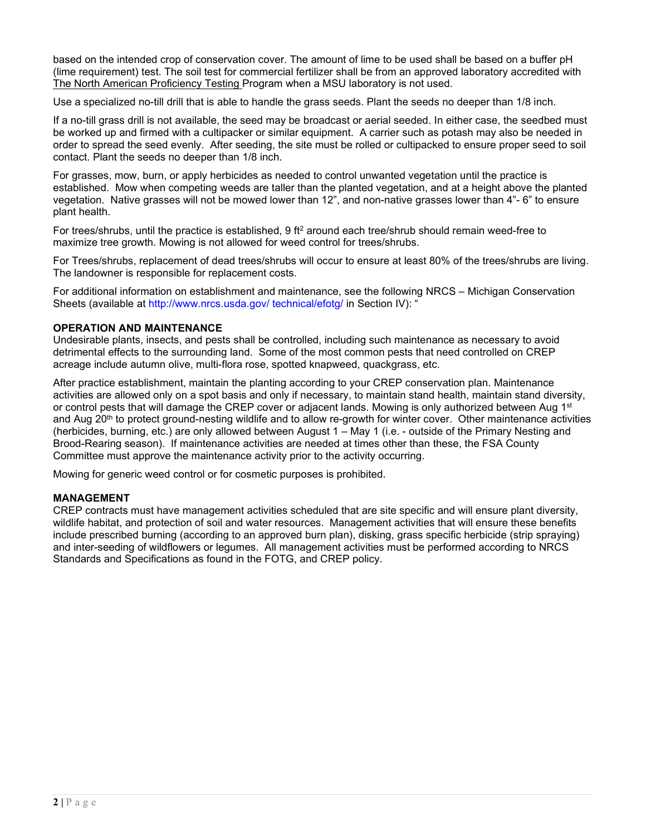based on the intended crop of conservation cover. The amount of lime to be used shall be based on a buffer pH (lime requirement) test. The soil test for commercial fertilizer shall be from an approved laboratory accredited with The North American Proficiency Testing Program when a MSU laboratory is not used.

Use a specialized no-till drill that is able to handle the grass seeds. Plant the seeds no deeper than 1/8 inch.

If a no-till grass drill is not available, the seed may be broadcast or aerial seeded. In either case, the seedbed must be worked up and firmed with a cultipacker or similar equipment. A carrier such as potash may also be needed in order to spread the seed evenly. After seeding, the site must be rolled or cultipacked to ensure proper seed to soil contact. Plant the seeds no deeper than 1/8 inch.

For grasses, mow, burn, or apply herbicides as needed to control unwanted vegetation until the practice is established. Mow when competing weeds are taller than the planted vegetation, and at a height above the planted vegetation. Native grasses will not be mowed lower than 12", and non-native grasses lower than 4"- 6" to ensure plant health.

For trees/shrubs, until the practice is established, 9 ft<sup>2</sup> around each tree/shrub should remain weed-free to maximize tree growth. Mowing is not allowed for weed control for trees/shrubs.

For Trees/shrubs, replacement of dead trees/shrubs will occur to ensure at least 80% of the trees/shrubs are living. The landowner is responsible for replacement costs.

For additional information on establishment and maintenance, see the following NRCS – Michigan Conservation Sheets (available at<http://www.nrcs.usda.gov/> technical/efotg/ in Section IV): "

### **OPERATION AND MAINTENANCE**

Undesirable plants, insects, and pests shall be controlled, including such maintenance as necessary to avoid detrimental effects to the surrounding land. Some of the most common pests that need controlled on CREP acreage include autumn olive, multi-flora rose, spotted knapweed, quackgrass, etc.

After practice establishment, maintain the planting according to your CREP conservation plan. Maintenance activities are allowed only on a spot basis and only if necessary, to maintain stand health, maintain stand diversity, or control pests that will damage the CREP cover or adjacent lands. Mowing is only authorized between Aug 1<sup>st</sup> and Aug 20<sup>th</sup> to protect ground-nesting wildlife and to allow re-growth for winter cover. Other maintenance activities (herbicides, burning, etc.) are only allowed between August 1 – May 1 (i.e. - outside of the Primary Nesting and Brood-Rearing season). If maintenance activities are needed at times other than these, the FSA County Committee must approve the maintenance activity prior to the activity occurring.

Mowing for generic weed control or for cosmetic purposes is prohibited.

#### **MANAGEMENT**

CREP contracts must have management activities scheduled that are site specific and will ensure plant diversity, wildlife habitat, and protection of soil and water resources. Management activities that will ensure these benefits include prescribed burning (according to an approved burn plan), disking, grass specific herbicide (strip spraying) and inter-seeding of wildflowers or legumes. All management activities must be performed according to NRCS Standards and Specifications as found in the FOTG, and CREP policy.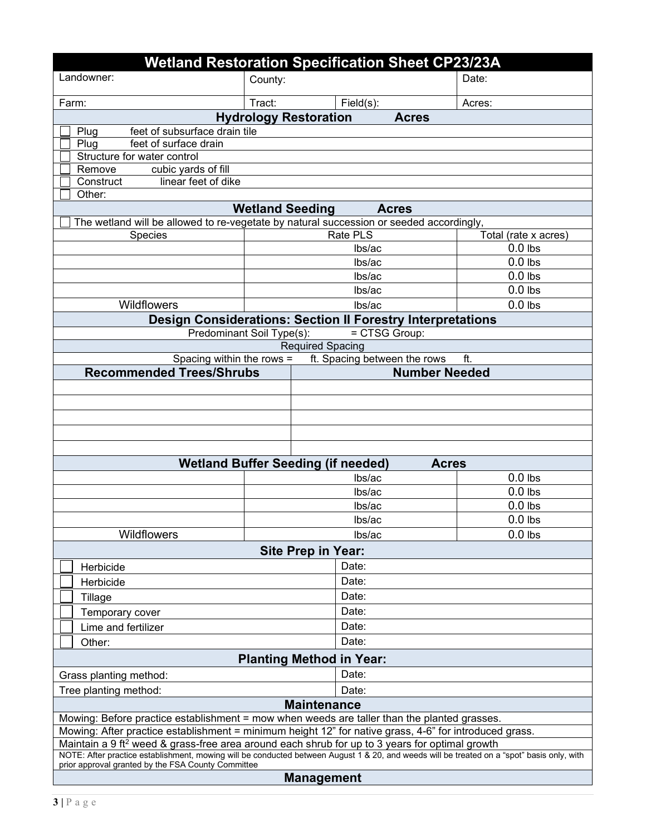| <b>Wetland Restoration Specification Sheet CP23/23A</b>                                                                                                                                                                                                  |                                                         |           |                      |  |
|----------------------------------------------------------------------------------------------------------------------------------------------------------------------------------------------------------------------------------------------------------|---------------------------------------------------------|-----------|----------------------|--|
| Landowner:                                                                                                                                                                                                                                               | County:                                                 |           | Date:                |  |
| Farm:                                                                                                                                                                                                                                                    | Tract:                                                  | Field(s): | Acres:               |  |
| <b>Hydrology Restoration</b><br><b>Acres</b>                                                                                                                                                                                                             |                                                         |           |                      |  |
| feet of subsurface drain tile<br>Plug                                                                                                                                                                                                                    |                                                         |           |                      |  |
| feet of surface drain<br>Plug                                                                                                                                                                                                                            |                                                         |           |                      |  |
| Structure for water control                                                                                                                                                                                                                              |                                                         |           |                      |  |
| cubic yards of fill<br>Remove<br>linear feet of dike<br>Construct                                                                                                                                                                                        |                                                         |           |                      |  |
| Other:                                                                                                                                                                                                                                                   |                                                         |           |                      |  |
| <b>Wetland Seeding</b><br><b>Acres</b>                                                                                                                                                                                                                   |                                                         |           |                      |  |
| The wetland will be allowed to re-vegetate by natural succession or seeded accordingly,                                                                                                                                                                  |                                                         |           |                      |  |
| <b>Species</b>                                                                                                                                                                                                                                           |                                                         | Rate PLS  | Total (rate x acres) |  |
|                                                                                                                                                                                                                                                          |                                                         | lbs/ac    | $0.0$ lbs            |  |
|                                                                                                                                                                                                                                                          |                                                         | lbs/ac    | $0.0$ lbs            |  |
|                                                                                                                                                                                                                                                          |                                                         | lbs/ac    | $0.0$ lbs            |  |
|                                                                                                                                                                                                                                                          |                                                         | lbs/ac    | $0.0$ lbs            |  |
| Wildflowers                                                                                                                                                                                                                                              |                                                         | lbs/ac    | $0.0$ lbs            |  |
| <b>Design Considerations: Section II Forestry Interpretations</b>                                                                                                                                                                                        |                                                         |           |                      |  |
| Predominant Soil Type(s):<br>= CTSG Group:                                                                                                                                                                                                               |                                                         |           |                      |  |
| <b>Required Spacing</b>                                                                                                                                                                                                                                  |                                                         |           |                      |  |
| Spacing within the rows =<br>ft. Spacing between the rows<br>ft.                                                                                                                                                                                         |                                                         |           |                      |  |
|                                                                                                                                                                                                                                                          | <b>Recommended Trees/Shrubs</b><br><b>Number Needed</b> |           |                      |  |
|                                                                                                                                                                                                                                                          |                                                         |           |                      |  |
|                                                                                                                                                                                                                                                          |                                                         |           |                      |  |
|                                                                                                                                                                                                                                                          |                                                         |           |                      |  |
|                                                                                                                                                                                                                                                          |                                                         |           |                      |  |
|                                                                                                                                                                                                                                                          |                                                         |           |                      |  |
| <b>Wetland Buffer Seeding (if needed)</b><br><b>Acres</b>                                                                                                                                                                                                |                                                         |           |                      |  |
|                                                                                                                                                                                                                                                          |                                                         | lbs/ac    | $0.0$ lbs            |  |
|                                                                                                                                                                                                                                                          |                                                         | lbs/ac    | $0.0$ lbs            |  |
|                                                                                                                                                                                                                                                          |                                                         | lbs/ac    | $0.0$ lbs            |  |
|                                                                                                                                                                                                                                                          |                                                         | lbs/ac    | $0.0$ lbs            |  |
| Wildflowers                                                                                                                                                                                                                                              |                                                         | lbs/ac    | $0.0$ lbs            |  |
| <b>Site Prep in Year:</b>                                                                                                                                                                                                                                |                                                         |           |                      |  |
| Herbicide                                                                                                                                                                                                                                                |                                                         | Date:     |                      |  |
| Herbicide                                                                                                                                                                                                                                                |                                                         | Date:     |                      |  |
|                                                                                                                                                                                                                                                          |                                                         | Date:     |                      |  |
| Tillage                                                                                                                                                                                                                                                  |                                                         |           |                      |  |
| Temporary cover                                                                                                                                                                                                                                          | Date:                                                   |           |                      |  |
| Lime and fertilizer                                                                                                                                                                                                                                      |                                                         | Date:     |                      |  |
| Other:                                                                                                                                                                                                                                                   |                                                         | Date:     |                      |  |
| <b>Planting Method in Year:</b>                                                                                                                                                                                                                          |                                                         |           |                      |  |
| Grass planting method:                                                                                                                                                                                                                                   |                                                         | Date:     |                      |  |
| Tree planting method:                                                                                                                                                                                                                                    |                                                         | Date:     |                      |  |
| <b>Maintenance</b>                                                                                                                                                                                                                                       |                                                         |           |                      |  |
| Mowing: Before practice establishment = mow when weeds are taller than the planted grasses.                                                                                                                                                              |                                                         |           |                      |  |
| Mowing: After practice establishment = minimum height 12" for native grass, 4-6" for introduced grass.                                                                                                                                                   |                                                         |           |                      |  |
| Maintain a 9 ft <sup>2</sup> weed & grass-free area around each shrub for up to 3 years for optimal growth<br>NOTE: After practice establishment, mowing will be conducted between August 1 & 20, and weeds will be treated on a "spot" basis only, with |                                                         |           |                      |  |
| prior approval granted by the FSA County Committee                                                                                                                                                                                                       |                                                         |           |                      |  |
| <b>Management</b>                                                                                                                                                                                                                                        |                                                         |           |                      |  |